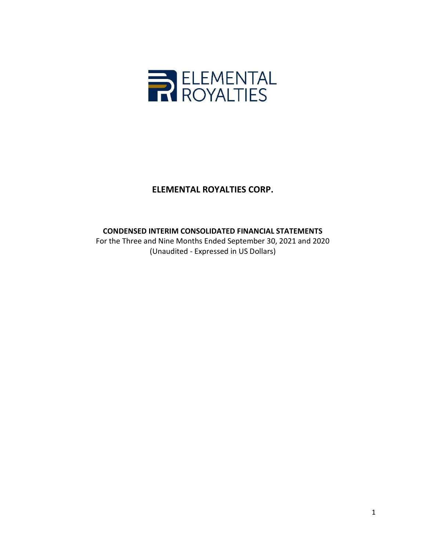

CONDENSED INTERIM CONSOLIDATED FINANCIAL STATEMENTS

For the Three and Nine Months Ended September 30, 2021 and 2020 (Unaudited - Expressed in US Dollars)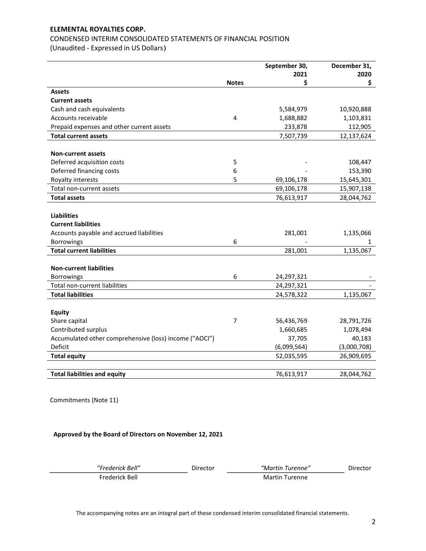# CONDENSED INTERIM CONSOLIDATED STATEMENTS OF FINANCIAL POSITION

(Unaudited - Expressed in US Dollars)

|                                                        |              | September 30, | December 31, |
|--------------------------------------------------------|--------------|---------------|--------------|
|                                                        |              | 2021          | 2020         |
|                                                        | <b>Notes</b> | \$            | \$           |
| <b>Assets</b>                                          |              |               |              |
| <b>Current assets</b>                                  |              |               |              |
| Cash and cash equivalents                              |              | 5,584,979     | 10,920,888   |
| Accounts receivable                                    | 4            | 1,688,882     | 1,103,831    |
| Prepaid expenses and other current assets              |              | 233,878       | 112,905      |
| <b>Total current assets</b>                            |              | 7,507,739     | 12,137,624   |
|                                                        |              |               |              |
| Non-current assets                                     |              |               |              |
| Deferred acquisition costs                             | 5            |               | 108,447      |
| Deferred financing costs                               | 6            |               | 153,390      |
| Royalty interests                                      | 5            | 69,106,178    | 15,645,301   |
| Total non-current assets                               |              | 69,106,178    | 15,907,138   |
| <b>Total assets</b>                                    |              | 76,613,917    | 28,044,762   |
|                                                        |              |               |              |
| <b>Liabilities</b>                                     |              |               |              |
| <b>Current liabilities</b>                             |              |               |              |
| Accounts payable and accrued liabilities               |              | 281,001       | 1,135,066    |
| Borrowings                                             | 6            |               | 1            |
| <b>Total current liabilities</b>                       |              | 281,001       | 1,135,067    |
|                                                        |              |               |              |
| <b>Non-current liabilities</b>                         |              |               |              |
| <b>Borrowings</b>                                      | 6            | 24,297,321    |              |
| Total non-current liabilities                          |              | 24,297,321    |              |
| <b>Total liabilities</b>                               |              | 24,578,322    | 1,135,067    |
|                                                        |              |               |              |
| <b>Equity</b>                                          |              |               |              |
| Share capital                                          | 7            | 56,436,769    | 28,791,726   |
| Contributed surplus                                    |              | 1,660,685     | 1,078,494    |
| Accumulated other comprehensive (loss) income ("AOCI") |              | 37,705        | 40,183       |
| Deficit                                                |              | (6,099,564)   | (3,000,708)  |
| <b>Total equity</b>                                    |              | 52,035,595    | 26,909,695   |
|                                                        |              |               |              |
| <b>Total liabilities and equity</b>                    |              | 76,613,917    | 28,044,762   |

Commitments (Note 11)

Approved by the Board of Directors on November 12, 2021

"Frederick Bell" Director "Martin Turenne" Director Frederick Bell Martin Turenne

The accompanying notes are an integral part of these condensed interim consolidated financial statements.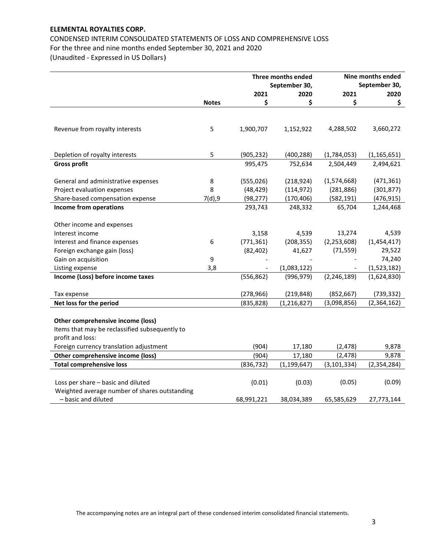CONDENSED INTERIM CONSOLIDATED STATEMENTS OF LOSS AND COMPREHENSIVE LOSS For the three and nine months ended September 30, 2021 and 2020 (Unaudited - Expressed in US Dollars)

|                                                |              | Three months ended |               | Nine months ended |               |
|------------------------------------------------|--------------|--------------------|---------------|-------------------|---------------|
|                                                |              |                    | September 30, |                   | September 30, |
|                                                |              | 2021               | 2020          | 2021              | 2020          |
|                                                | <b>Notes</b> | \$                 | \$            | \$                | \$            |
|                                                |              |                    |               |                   |               |
| Revenue from royalty interests                 | 5            | 1,900,707          | 1,152,922     | 4,288,502         | 3,660,272     |
|                                                |              |                    |               |                   |               |
|                                                |              |                    |               |                   |               |
| Depletion of royalty interests                 | 5            | (905, 232)         | (400, 288)    | (1,784,053)       | (1, 165, 651) |
| <b>Gross profit</b>                            |              | 995,475            | 752,634       | 2,504,449         | 2,494,621     |
| General and administrative expenses            | 8            | (555, 026)         | (218, 924)    | (1,574,668)       | (471, 361)    |
| Project evaluation expenses                    | 8            | (48, 429)          | (114, 972)    | (281, 886)        | (301, 877)    |
| Share-based compensation expense               | 7(d), 9      | (98, 277)          | (170, 406)    | (582, 191)        | (476, 915)    |
| Income from operations                         |              | 293,743            | 248,332       | 65,704            | 1,244,468     |
|                                                |              |                    |               |                   |               |
| Other income and expenses                      |              |                    |               |                   |               |
| Interest income                                |              | 3,158              | 4,539         | 13,274            | 4,539         |
| Interest and finance expenses                  | 6            | (771, 361)         | (208, 355)    | (2, 253, 608)     | (1,454,417)   |
| Foreign exchange gain (loss)                   |              | (82, 402)          | 41,627        | (71, 559)         | 29,522        |
| Gain on acquisition                            | 9            |                    |               |                   | 74,240        |
| Listing expense                                | 3,8          |                    | (1,083,122)   |                   | (1,523,182)   |
| Income (Loss) before income taxes              |              | (556, 862)         | (996, 979)    | (2, 246, 189)     | (1,624,830)   |
| Tax expense                                    |              | (278, 966)         | (219, 848)    | (852, 667)        | (739, 332)    |
| Net loss for the period                        |              | (835, 828)         | (1, 216, 827) | (3,098,856)       | (2,364,162)   |
|                                                |              |                    |               |                   |               |
| Other comprehensive income (loss)              |              |                    |               |                   |               |
| Items that may be reclassified subsequently to |              |                    |               |                   |               |
| profit and loss:                               |              |                    |               |                   |               |
| Foreign currency translation adjustment        |              | (904)              | 17,180        | (2, 478)          | 9,878         |
| Other comprehensive income (loss)              |              | (904)              | 17,180        | (2, 478)          | 9,878         |
| <b>Total comprehensive loss</b>                |              | (836, 732)         | (1, 199, 647) | (3, 101, 334)     | (2, 354, 284) |
|                                                |              |                    |               |                   |               |
| Loss per share - basic and diluted             |              | (0.01)             | (0.03)        | (0.05)            | (0.09)        |
| Weighted average number of shares outstanding  |              |                    |               |                   |               |
| - basic and diluted                            |              | 68,991,221         | 38,034,389    | 65,585,629        | 27,773,144    |

The accompanying notes are an integral part of these condensed interim consolidated financial statements.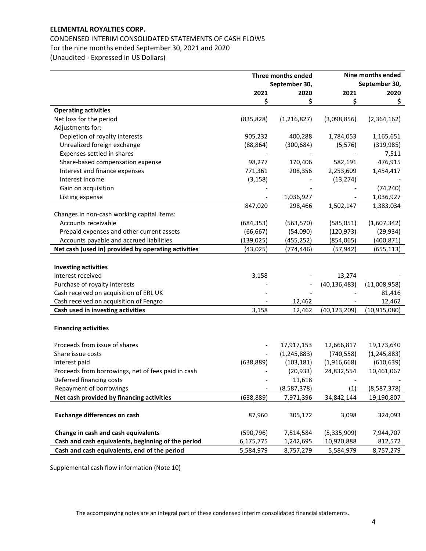# CONDENSED INTERIM CONSOLIDATED STATEMENTS OF CASH FLOWS For the nine months ended September 30, 2021 and 2020 (Unaudited - Expressed in US Dollars)

|                                                     | Three months ended       |               | Nine months ended |                |  |
|-----------------------------------------------------|--------------------------|---------------|-------------------|----------------|--|
|                                                     |                          | September 30, | September 30,     |                |  |
|                                                     | 2021                     | 2020          | 2021              | 2020           |  |
|                                                     | \$                       | \$            | \$                | \$             |  |
| <b>Operating activities</b>                         |                          |               |                   |                |  |
| Net loss for the period                             | (835, 828)               | (1, 216, 827) | (3,098,856)       | (2,364,162)    |  |
| Adjustments for:                                    |                          |               |                   |                |  |
| Depletion of royalty interests                      | 905,232                  | 400,288       | 1,784,053         | 1,165,651      |  |
| Unrealized foreign exchange                         | (88, 864)                | (300, 684)    | (5, 576)          | (319, 985)     |  |
| Expenses settled in shares                          |                          |               |                   | 7,511          |  |
| Share-based compensation expense                    | 98,277                   | 170,406       | 582,191           | 476,915        |  |
| Interest and finance expenses                       | 771,361                  | 208,356       | 2,253,609         | 1,454,417      |  |
| Interest income                                     | (3, 158)                 |               | (13, 274)         |                |  |
| Gain on acquisition                                 |                          |               |                   | (74, 240)      |  |
| Listing expense                                     |                          | 1,036,927     |                   | 1,036,927      |  |
|                                                     | 847,020                  | 298,466       | 1,502,147         | 1,383,034      |  |
| Changes in non-cash working capital items:          |                          |               |                   |                |  |
| Accounts receivable                                 | (684, 353)               | (563, 570)    | (585,051)         | (1,607,342)    |  |
| Prepaid expenses and other current assets           | (66, 667)                | (54,090)      | (120, 973)        | (29, 934)      |  |
| Accounts payable and accrued liabilities            | (139, 025)               | (455, 252)    | (854,065)         | (400, 871)     |  |
| Net cash (used in) provided by operating activities | (43, 025)                | (774, 446)    | (57, 942)         | (655, 113)     |  |
|                                                     |                          |               |                   |                |  |
| <b>Investing activities</b>                         |                          |               |                   |                |  |
| Interest received                                   | 3,158                    |               | 13,274            |                |  |
| Purchase of royalty interests                       |                          |               | (40, 136, 483)    | (11,008,958)   |  |
| Cash received on acquisition of ERL UK              |                          |               |                   | 81,416         |  |
| Cash received on acquisition of Fengro              |                          | 12,462        |                   | 12,462         |  |
| Cash used in investing activities                   | 3,158                    | 12,462        | (40, 123, 209)    | (10, 915, 080) |  |
|                                                     |                          |               |                   |                |  |
| <b>Financing activities</b>                         |                          |               |                   |                |  |
|                                                     |                          |               |                   |                |  |
| Proceeds from issue of shares                       |                          | 17,917,153    | 12,666,817        | 19,173,640     |  |
| Share issue costs                                   |                          | (1, 245, 883) | (740, 558)        | (1, 245, 883)  |  |
| Interest paid                                       | (638, 889)               | (103, 181)    | (1,916,668)       | (610, 639)     |  |
| Proceeds from borrowings, net of fees paid in cash  |                          | (20, 933)     | 24,832,554        | 10,461,067     |  |
| Deferred financing costs                            |                          | 11,618        |                   |                |  |
| Repayment of borrowings                             | $\overline{\phantom{a}}$ | (8,587,378)   | (1)               | (8,587,378)    |  |
| Net cash provided by financing activities           | (638, 889)               | 7,971,396     | 34,842,144        | 19,190,807     |  |
|                                                     |                          |               |                   |                |  |
| <b>Exchange differences on cash</b>                 | 87,960                   | 305,172       | 3,098             | 324,093        |  |
|                                                     |                          |               |                   |                |  |
| Change in cash and cash equivalents                 | (590, 796)               | 7,514,584     | (5,335,909)       | 7,944,707      |  |
| Cash and cash equivalents, beginning of the period  | 6,175,775                | 1,242,695     | 10,920,888        | 812,572        |  |
| Cash and cash equivalents, end of the period        | 5,584,979                | 8,757,279     | 5,584,979         | 8,757,279      |  |

Supplemental cash flow information (Note 10)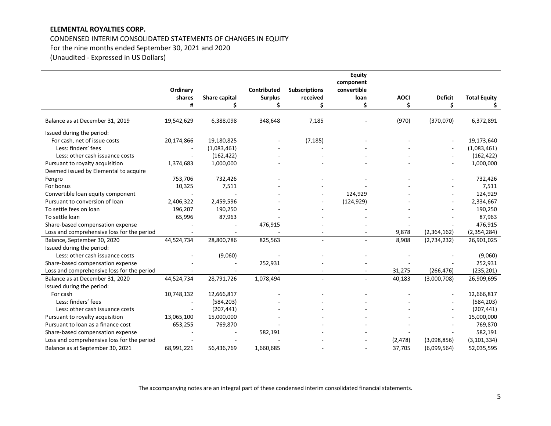# CONDENSED INTERIM CONSOLIDATED STATEMENTS OF CHANGES IN EQUITY For the nine months ended September 30, 2021 and 2020

(Unaudited - Expressed in US Dollars)

|                                            |            |               |                    |                      | <b>Equity</b> |             |                |                     |
|--------------------------------------------|------------|---------------|--------------------|----------------------|---------------|-------------|----------------|---------------------|
|                                            |            |               |                    |                      | component     |             |                |                     |
|                                            | Ordinary   |               | <b>Contributed</b> | <b>Subscriptions</b> | convertible   |             |                |                     |
|                                            | shares     | Share capital | <b>Surplus</b>     | received             | loan          | <b>AOCI</b> | <b>Deficit</b> | <b>Total Equity</b> |
|                                            | Ħ          |               | \$                 | Ś                    | \$            | Ś           | Ś              |                     |
| Balance as at December 31, 2019            | 19,542,629 | 6,388,098     | 348,648            | 7,185                |               | (970)       | (370,070)      | 6,372,891           |
| Issued during the period:                  |            |               |                    |                      |               |             |                |                     |
| For cash, net of issue costs               | 20,174,866 | 19,180,825    |                    | (7, 185)             |               |             |                | 19,173,640          |
| Less: finders' fees                        |            | (1,083,461)   |                    |                      |               |             |                | (1,083,461)         |
| Less: other cash issuance costs            |            | (162, 422)    |                    |                      |               |             |                | (162, 422)          |
| Pursuant to royalty acquisition            | 1,374,683  | 1,000,000     |                    |                      |               |             |                | 1,000,000           |
| Deemed issued by Elemental to acquire      |            |               |                    |                      |               |             |                |                     |
| Fengro                                     | 753,706    | 732,426       |                    |                      |               |             |                | 732,426             |
| For bonus                                  | 10,325     | 7,511         |                    |                      |               |             |                | 7,511               |
| Convertible loan equity component          |            |               |                    |                      | 124,929       |             |                | 124,929             |
| Pursuant to conversion of loan             | 2,406,322  | 2,459,596     |                    |                      | (124, 929)    |             |                | 2,334,667           |
| To settle fees on loan                     | 196,207    | 190,250       |                    |                      |               |             |                | 190,250             |
| To settle loan                             | 65,996     | 87,963        |                    |                      |               |             |                | 87,963              |
| Share-based compensation expense           |            |               | 476,915            |                      |               |             |                | 476,915             |
| Loss and comprehensive loss for the period |            |               |                    |                      |               | 9,878       | (2,364,162)    | (2, 354, 284)       |
| Balance, September 30, 2020                | 44,524,734 | 28,800,786    | 825,563            |                      |               | 8,908       | (2,734,232)    | 26,901,025          |
| Issued during the period:                  |            |               |                    |                      |               |             |                |                     |
| Less: other cash issuance costs            |            | (9,060)       |                    |                      |               |             |                | (9,060)             |
| Share-based compensation expense           |            |               | 252,931            |                      |               |             |                | 252,931             |
| Loss and comprehensive loss for the period |            |               |                    |                      |               | 31,275      | (266, 476)     | (235, 201)          |
| Balance as at December 31, 2020            | 44,524,734 | 28,791,726    | 1,078,494          | $\sim$               |               | 40,183      | (3,000,708)    | 26,909,695          |
| Issued during the period:                  |            |               |                    |                      |               |             |                |                     |
| For cash                                   | 10,748,132 | 12,666,817    |                    |                      |               |             |                | 12,666,817          |
| Less: finders' fees                        |            | (584, 203)    |                    |                      |               |             |                | (584, 203)          |
| Less: other cash issuance costs            |            | (207, 441)    |                    |                      |               |             |                | (207, 441)          |
| Pursuant to royalty acquisition            | 13,065,100 | 15,000,000    |                    |                      |               |             |                | 15,000,000          |
| Pursuant to loan as a finance cost         | 653,255    | 769,870       |                    |                      |               |             |                | 769,870             |
| Share-based compensation expense           |            |               | 582,191            |                      |               |             |                | 582,191             |
| Loss and comprehensive loss for the period |            |               |                    |                      |               | (2, 478)    | (3,098,856)    | (3, 101, 334)       |
| Balance as at September 30, 2021           | 68,991,221 | 56,436,769    | 1,660,685          |                      |               | 37,705      | (6,099,564)    | 52,035,595          |

The accompanying notes are an integral part of these condensed interim consolidated financial statements.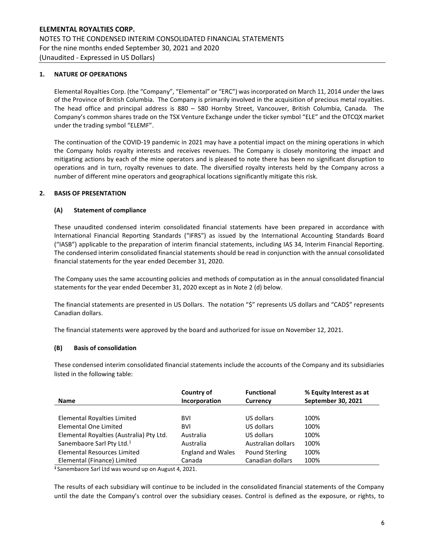#### 1. NATURE OF OPERATIONS

Elemental Royalties Corp. (the "Company", "Elemental" or "ERC") was incorporated on March 11, 2014 under the laws of the Province of British Columbia. The Company is primarily involved in the acquisition of precious metal royalties. The head office and principal address is 880 – 580 Hornby Street, Vancouver, British Columbia, Canada. The Company's common shares trade on the TSX Venture Exchange under the ticker symbol "ELE" and the OTCQX market under the trading symbol "ELEMF".

The continuation of the COVID-19 pandemic in 2021 may have a potential impact on the mining operations in which the Company holds royalty interests and receives revenues. The Company is closely monitoring the impact and mitigating actions by each of the mine operators and is pleased to note there has been no significant disruption to operations and in turn, royalty revenues to date. The diversified royalty interests held by the Company across a number of different mine operators and geographical locations significantly mitigate this risk.

#### 2. BASIS OF PRESENTATION

#### (A) Statement of compliance

These unaudited condensed interim consolidated financial statements have been prepared in accordance with International Financial Reporting Standards ("IFRS") as issued by the International Accounting Standards Board ("IASB") applicable to the preparation of interim financial statements, including IAS 34, Interim Financial Reporting. The condensed interim consolidated financial statements should be read in conjunction with the annual consolidated financial statements for the year ended December 31, 2020.

The Company uses the same accounting policies and methods of computation as in the annual consolidated financial statements for the year ended December 31, 2020 except as in Note 2 (d) below.

The financial statements are presented in US Dollars. The notation "\$" represents US dollars and "CAD\$" represents Canadian dollars.

The financial statements were approved by the board and authorized for issue on November 12, 2021.

#### (B) Basis of consolidation

These condensed interim consolidated financial statements include the accounts of the Company and its subsidiaries listed in the following table:

|                                          | Country of               | <b>Functional</b>  | % Equity Interest as at |
|------------------------------------------|--------------------------|--------------------|-------------------------|
| <b>Name</b>                              | Incorporation            | <b>Currency</b>    | September 30, 2021      |
|                                          |                          |                    |                         |
| Elemental Royalties Limited              | <b>BVI</b>               | US dollars         | 100%                    |
| Elemental One Limited                    | <b>BVI</b>               | US dollars         | 100%                    |
| Elemental Royalties (Australia) Pty Ltd. | Australia                | US dollars         | 100%                    |
| Sanembaore Sarl Pty Ltd. <sup>1</sup>    | Australia                | Australian dollars | 100%                    |
| <b>Elemental Resources Limited</b>       | <b>England and Wales</b> | Pound Sterling     | 100%                    |
| Elemental (Finance) Limited              | Canada                   | Canadian dollars   | 100%                    |

<sup>1</sup>Sanembaore Sarl Ltd was wound up on August 4, 2021.

The results of each subsidiary will continue to be included in the consolidated financial statements of the Company until the date the Company's control over the subsidiary ceases. Control is defined as the exposure, or rights, to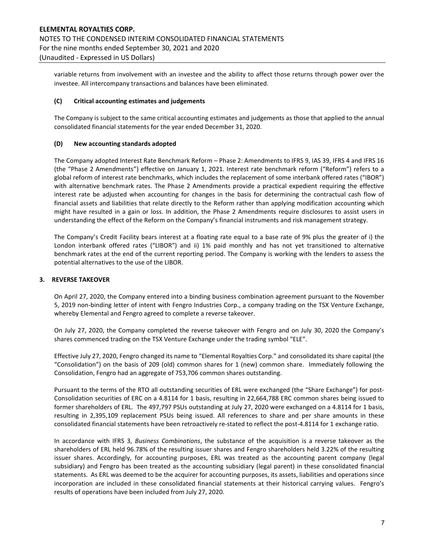variable returns from involvement with an investee and the ability to affect those returns through power over the investee. All intercompany transactions and balances have been eliminated.

#### (C) Critical accounting estimates and judgements

The Company is subject to the same critical accounting estimates and judgements as those that applied to the annual consolidated financial statements for the year ended December 31, 2020.

#### (D) New accounting standards adopted

The Company adopted Interest Rate Benchmark Reform – Phase 2: Amendments to IFRS 9, IAS 39, IFRS 4 and IFRS 16 (the "Phase 2 Amendments") effective on January 1, 2021. Interest rate benchmark reform ("Reform") refers to a global reform of interest rate benchmarks, which includes the replacement of some interbank offered rates ("IBOR") with alternative benchmark rates. The Phase 2 Amendments provide a practical expedient requiring the effective interest rate be adjusted when accounting for changes in the basis for determining the contractual cash flow of financial assets and liabilities that relate directly to the Reform rather than applying modification accounting which might have resulted in a gain or loss. In addition, the Phase 2 Amendments require disclosures to assist users in understanding the effect of the Reform on the Company's financial instruments and risk management strategy.

The Company's Credit Facility bears interest at a floating rate equal to a base rate of 9% plus the greater of i) the London interbank offered rates ("LIBOR") and ii) 1% paid monthly and has not yet transitioned to alternative benchmark rates at the end of the current reporting period. The Company is working with the lenders to assess the potential alternatives to the use of the LIBOR.

#### 3. REVERSE TAKEOVER

On April 27, 2020, the Company entered into a binding business combination agreement pursuant to the November 5, 2019 non-binding letter of intent with Fengro Industries Corp., a company trading on the TSX Venture Exchange, whereby Elemental and Fengro agreed to complete a reverse takeover.

On July 27, 2020, the Company completed the reverse takeover with Fengro and on July 30, 2020 the Company's shares commenced trading on the TSX Venture Exchange under the trading symbol "ELE".

Effective July 27, 2020, Fengro changed its name to "Elemental Royalties Corp." and consolidated its share capital (the "Consolidation") on the basis of 209 (old) common shares for 1 (new) common share. Immediately following the Consolidation, Fengro had an aggregate of 753,706 common shares outstanding.

Pursuant to the terms of the RTO all outstanding securities of ERL were exchanged (the "Share Exchange") for post-Consolidation securities of ERC on a 4.8114 for 1 basis, resulting in 22,664,788 ERC common shares being issued to former shareholders of ERL. The 497,797 PSUs outstanding at July 27, 2020 were exchanged on a 4.8114 for 1 basis, resulting in 2,395,109 replacement PSUs being issued. All references to share and per share amounts in these consolidated financial statements have been retroactively re-stated to reflect the post-4.8114 for 1 exchange ratio.

In accordance with IFRS 3, Business Combinations, the substance of the acquisition is a reverse takeover as the shareholders of ERL held 96.78% of the resulting issuer shares and Fengro shareholders held 3.22% of the resulting issuer shares. Accordingly, for accounting purposes, ERL was treated as the accounting parent company (legal subsidiary) and Fengro has been treated as the accounting subsidiary (legal parent) in these consolidated financial statements. As ERL was deemed to be the acquirer for accounting purposes, its assets, liabilities and operations since incorporation are included in these consolidated financial statements at their historical carrying values. Fengro's results of operations have been included from July 27, 2020.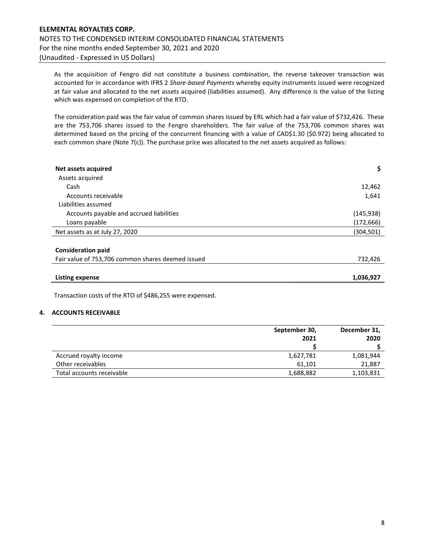As the acquisition of Fengro did not constitute a business combination, the reverse takeover transaction was accounted for in accordance with IFRS 2 Share-based Payments whereby equity instruments issued were recognized at fair value and allocated to the net assets acquired (liabilities assumed). Any difference is the value of the listing which was expensed on completion of the RTO.

The consideration paid was the fair value of common shares issued by ERL which had a fair value of \$732,426. These are the 753,706 shares issued to the Fengro shareholders. The fair value of the 753,706 common shares was determined based on the pricing of the concurrent financing with a value of CAD\$1.30 (\$0.972) being allocated to each common share (Note 7(c)). The purchase price was allocated to the net assets acquired as follows:

| Net assets acquired                               |            |
|---------------------------------------------------|------------|
| Assets acquired                                   |            |
| Cash                                              | 12,462     |
| Accounts receivable                               | 1,641      |
| Liabilities assumed                               |            |
| Accounts payable and accrued liabilities          | (145, 938) |
| Loans payable                                     | (172,666)  |
| Net assets as at July 27, 2020                    | (304,501)  |
| <b>Consideration paid</b>                         |            |
| Fair value of 753,706 common shares deemed issued | 732,426    |

| <b>Listing expense</b> | 1,036,927 |
|------------------------|-----------|

Transaction costs of the RTO of \$486,255 were expensed.

#### 4. ACCOUNTS RECEIVABLE

|                           | September 30, | December 31, |
|---------------------------|---------------|--------------|
|                           | 2021          | 2020         |
|                           |               |              |
| Accrued royalty income    | 1,627,781     | 1,081,944    |
| Other receivables         | 61.101        | 21,887       |
| Total accounts receivable | 1,688,882     | 1,103,831    |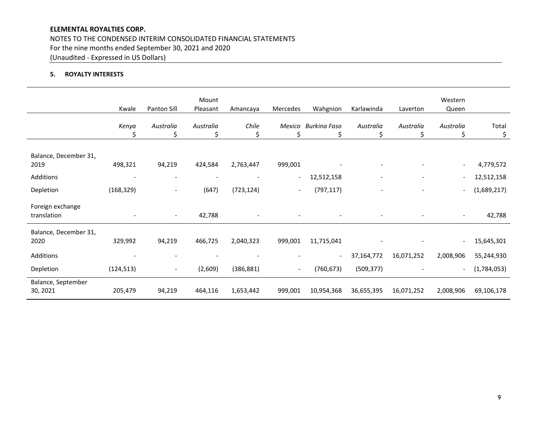NOTES TO THE CONDENSED INTERIM CONSOLIDATED FINANCIAL STATEMENTS For the nine months ended September 30, 2021 and 2020 (Unaudited - Expressed in US Dollars)

## 5. ROYALTY INTERESTS

|                                 | Kwale       | Panton Sill              | Mount<br>Pleasant | Amancaya    | Mercedes                 | Wahgnion                 | Karlawinda     | Laverton                 | Western<br>Queen         |             |
|---------------------------------|-------------|--------------------------|-------------------|-------------|--------------------------|--------------------------|----------------|--------------------------|--------------------------|-------------|
|                                 | Kenya<br>\$ | Australia<br>\$          | Australia<br>\$   | Chile<br>\$ | Mexico<br>Ś              | <b>Burkina Faso</b><br>Ş | Australia<br>S | Australia<br>\$          | Australia<br>\$,         | Total<br>\$ |
| Balance, December 31,<br>2019   | 498,321     | 94,219                   | 424,584           | 2,763,447   | 999,001                  |                          |                | $\overline{\phantom{a}}$ |                          | 4,779,572   |
| Additions                       |             |                          |                   |             | $\overline{\phantom{a}}$ | 12,512,158               |                | $\overline{\phantom{a}}$ |                          | 12,512,158  |
| Depletion                       | (168, 329)  |                          | (647)             | (723, 124)  | $\overline{\phantom{a}}$ | (797, 117)               |                |                          |                          | (1,689,217) |
| Foreign exchange<br>translation |             | $\blacksquare$           | 42,788            |             |                          |                          |                |                          |                          | 42,788      |
| Balance, December 31,<br>2020   | 329,992     | 94,219                   | 466,725           | 2,040,323   | 999,001                  | 11,715,041               |                |                          | $\overline{\phantom{a}}$ | 15,645,301  |
| Additions                       |             |                          |                   |             |                          | $\overline{\phantom{a}}$ | 37,164,772     | 16,071,252               | 2,008,906                | 55,244,930  |
| Depletion                       | (124, 513)  | $\overline{\phantom{a}}$ | (2,609)           | (386, 881)  | $\overline{\phantom{a}}$ | (760, 673)               | (509, 377)     |                          |                          | (1,784,053) |
| Balance, September<br>30, 2021  | 205,479     | 94,219                   | 464,116           | 1,653,442   | 999,001                  | 10,954,368               | 36,655,395     | 16,071,252               | 2,008,906                | 69,106,178  |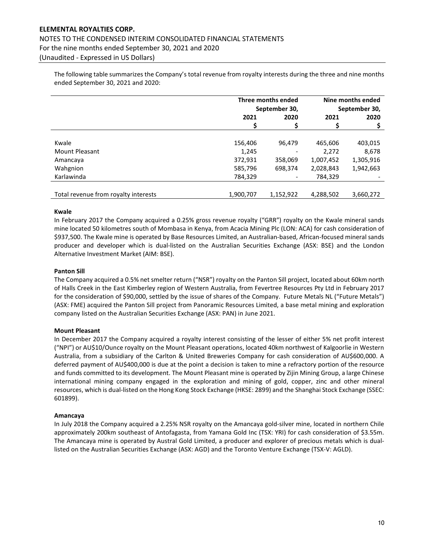# ELEMENTAL ROYALTIES CORP. NOTES TO THE CONDENSED INTERIM CONSOLIDATED FINANCIAL STATEMENTS For the nine months ended September 30, 2021 and 2020 (Unaudited - Expressed in US Dollars)

The following table summarizes the Company's total revenue from royalty interests during the three and nine months ended September 30, 2021 and 2020:

|                                      | Three months ended<br>September 30, | Nine months ended<br>September 30, |           |           |
|--------------------------------------|-------------------------------------|------------------------------------|-----------|-----------|
|                                      | 2021                                | 2020                               |           | 2020      |
|                                      |                                     |                                    |           |           |
|                                      |                                     |                                    |           |           |
| Kwale                                | 156,406                             | 96.479                             | 465,606   | 403,015   |
| <b>Mount Pleasant</b>                | 1,245                               |                                    | 2,272     | 8,678     |
| Amancaya                             | 372,931                             | 358,069                            | 1,007,452 | 1,305,916 |
| Wahgnion                             | 585,796                             | 698,374                            | 2,028,843 | 1,942,663 |
| Karlawinda                           | 784,329                             | $\overline{\phantom{a}}$           | 784,329   |           |
|                                      |                                     |                                    |           |           |
| Total revenue from royalty interests | 1,900,707                           | 1,152,922                          | 4.288.502 | 3,660,272 |

#### Kwale

In February 2017 the Company acquired a 0.25% gross revenue royalty ("GRR") royalty on the Kwale mineral sands mine located 50 kilometres south of Mombasa in Kenya, from Acacia Mining Plc (LON: ACA) for cash consideration of \$937,500. The Kwale mine is operated by Base Resources Limited, an Australian-based, African-focused mineral sands producer and developer which is dual-listed on the Australian Securities Exchange (ASX: BSE) and the London Alternative Investment Market (AIM: BSE).

#### Panton Sill

The Company acquired a 0.5% net smelter return ("NSR") royalty on the Panton Sill project, located about 60km north of Halls Creek in the East Kimberley region of Western Australia, from Fevertree Resources Pty Ltd in February 2017 for the consideration of \$90,000, settled by the issue of shares of the Company. Future Metals NL ("Future Metals") (ASX: FME) acquired the Panton Sill project from Panoramic Resources Limited, a base metal mining and exploration company listed on the Australian Securities Exchange (ASX: PAN) in June 2021.

#### Mount Pleasant

In December 2017 the Company acquired a royalty interest consisting of the lesser of either 5% net profit interest ("NPI") or AU\$10/Ounce royalty on the Mount Pleasant operations, located 40km northwest of Kalgoorlie in Western Australia, from a subsidiary of the Carlton & United Breweries Company for cash consideration of AU\$600,000. A deferred payment of AU\$400,000 is due at the point a decision is taken to mine a refractory portion of the resource and funds committed to its development. The Mount Pleasant mine is operated by Zijin Mining Group, a large Chinese international mining company engaged in the exploration and mining of gold, copper, zinc and other mineral resources, which is dual-listed on the Hong Kong Stock Exchange (HKSE: 2899) and the Shanghai Stock Exchange (SSEC: 601899).

#### Amancaya

In July 2018 the Company acquired a 2.25% NSR royalty on the Amancaya gold-silver mine, located in northern Chile approximately 200km southeast of Antofagasta, from Yamana Gold Inc (TSX: YRI) for cash consideration of \$3.55m. The Amancaya mine is operated by Austral Gold Limited, a producer and explorer of precious metals which is duallisted on the Australian Securities Exchange (ASX: AGD) and the Toronto Venture Exchange (TSX-V: AGLD).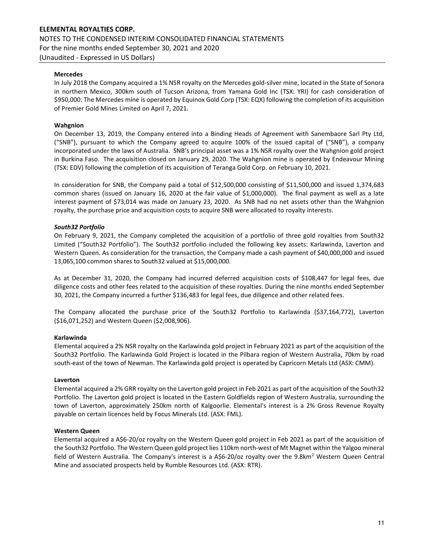#### Mercedes

In July 2018 the Company acquired a 1% NSR royalty on the Mercedes gold-silver mine, located in the State of Sonora in northern Mexico, 300km south of Tucson Arizona, from Yamana Gold Inc (TSX: YRI) for cash consideration of \$950,000. The Mercedes mine is operated by Equinox Gold Corp (TSX: EQX) following the completion of its acquisition of Premier Gold Mines Limited on April 7, 2021.

#### Wahgnion

On December 13, 2019, the Company entered into a Binding Heads of Agreement with Sanembaore Sarl Pty Ltd, ("SNB"), pursuant to which the Company agreed to acquire 100% of the issued capital of ("SNB"), a company incorporated under the laws of Australia. SNB's principal asset was a 1% NSR royalty over the Wahgnion gold project in Burkina Faso. The acquisition closed on January 29, 2020. The Wahgnion mine is operated by Endeavour Mining (TSX: EDV) following the completion of its acquisition of Teranga Gold Corp. on February 10, 2021.

In consideration for SNB, the Company paid a total of \$12,500,000 consisting of \$11,500,000 and issued 1,374,683 common shares (issued on January 16, 2020 at the fair value of \$1,000,000). The final payment as well as a late interest payment of \$73,014 was made on January 23, 2020. As SNB had no net assets other than the Wahgnion royalty, the purchase price and acquisition costs to acquire SNB were allocated to royalty interests.

#### South32 Portfolio

On February 9, 2021, the Company completed the acquisition of a portfolio of three gold royalties from South32 Limited ("South32 Portfolio"). The South32 portfolio included the following key assets: Karlawinda, Laverton and Western Queen. As consideration for the transaction, the Company made a cash payment of \$40,000,000 and issued 13,065,100 common shares to South32 valued at \$15,000,000.

As at December 31, 2020, the Company had incurred deferred acquisition costs of \$108,447 for legal fees, due diligence costs and other fees related to the acquisition of these royalties. During the nine months ended September 30, 2021, the Company incurred a further \$136,483 for legal fees, due diligence and other related fees.

The Company allocated the purchase price of the South32 Portfolio to Karlawinda (\$37,164,772), Laverton (\$16,071,252) and Western Queen (\$2,008,906).

#### Karlawinda

Elemental acquired a 2% NSR royalty on the Karlawinda gold project in February 2021 as part of the acquisition of the South32 Portfolio. The Karlawinda Gold Project is located in the Pilbara region of Western Australia, 70km by road south-east of the town of Newman. The Karlawinda gold project is operated by Capricorn Metals Ltd (ASX: CMM).

#### Laverton

Elemental acquired a 2% GRR royalty on the Laverton gold project in Feb 2021 as part of the acquisition of the South32 Portfolio. The Laverton gold project is located in the Eastern Goldfields region of Western Australia, surrounding the town of Laverton, approximately 250km north of Kalgoorlie. Elemental's interest is a 2% Gross Revenue Royalty payable on certain licences held by Focus Minerals Ltd. (ASX: FML).

#### Western Queen

Elemental acquired a A\$6-20/oz royalty on the Western Queen gold project in Feb 2021 as part of the acquisition of the South32 Portfolio. The Western Queen gold project lies 110km north-west of Mt Magnet within the Yalgoo mineral field of Western Australia. The Company's interest is a A\$6-20/oz royalty over the 9.8km<sup>2</sup> Western Queen Central Mine and associated prospects held by Rumble Resources Ltd. (ASX: RTR).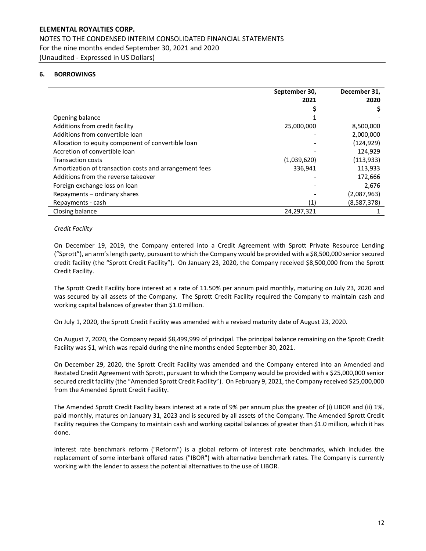# ELEMENTAL ROYALTIES CORP. NOTES TO THE CONDENSED INTERIM CONSOLIDATED FINANCIAL STATEMENTS For the nine months ended September 30, 2021 and 2020 (Unaudited - Expressed in US Dollars)

## 6. BORROWINGS

|                                                        | September 30, | December 31, |
|--------------------------------------------------------|---------------|--------------|
|                                                        | 2021          | 2020         |
|                                                        |               |              |
| Opening balance                                        |               |              |
| Additions from credit facility                         | 25,000,000    | 8,500,000    |
| Additions from convertible loan                        |               | 2,000,000    |
| Allocation to equity component of convertible loan     |               | (124, 929)   |
| Accretion of convertible loan                          |               | 124,929      |
| <b>Transaction costs</b>                               | (1,039,620)   | (113, 933)   |
| Amortization of transaction costs and arrangement fees | 336,941       | 113,933      |
| Additions from the reverse takeover                    |               | 172,666      |
| Foreign exchange loss on loan                          |               | 2,676        |
| Repayments – ordinary shares                           |               | (2,087,963)  |
| Repayments - cash                                      | (1)           | (8,587,378)  |
| Closing balance                                        | 24,297,321    |              |

#### Credit Facility

On December 19, 2019, the Company entered into a Credit Agreement with Sprott Private Resource Lending ("Sprott"), an arm's length party, pursuant to which the Company would be provided with a \$8,500,000 senior secured credit facility (the "Sprott Credit Facility"). On January 23, 2020, the Company received \$8,500,000 from the Sprott Credit Facility.

The Sprott Credit Facility bore interest at a rate of 11.50% per annum paid monthly, maturing on July 23, 2020 and was secured by all assets of the Company. The Sprott Credit Facility required the Company to maintain cash and working capital balances of greater than \$1.0 million.

On July 1, 2020, the Sprott Credit Facility was amended with a revised maturity date of August 23, 2020.

On August 7, 2020, the Company repaid \$8,499,999 of principal. The principal balance remaining on the Sprott Credit Facility was \$1, which was repaid during the nine months ended September 30, 2021.

On December 29, 2020, the Sprott Credit Facility was amended and the Company entered into an Amended and Restated Credit Agreement with Sprott, pursuant to which the Company would be provided with a \$25,000,000 senior secured credit facility (the "Amended Sprott Credit Facility"). On February 9, 2021, the Company received \$25,000,000 from the Amended Sprott Credit Facility.

The Amended Sprott Credit Facility bears interest at a rate of 9% per annum plus the greater of (i) LIBOR and (ii) 1%, paid monthly, matures on January 31, 2023 and is secured by all assets of the Company. The Amended Sprott Credit Facility requires the Company to maintain cash and working capital balances of greater than \$1.0 million, which it has done.

Interest rate benchmark reform ("Reform") is a global reform of interest rate benchmarks, which includes the replacement of some interbank offered rates ("IBOR") with alternative benchmark rates. The Company is currently working with the lender to assess the potential alternatives to the use of LIBOR.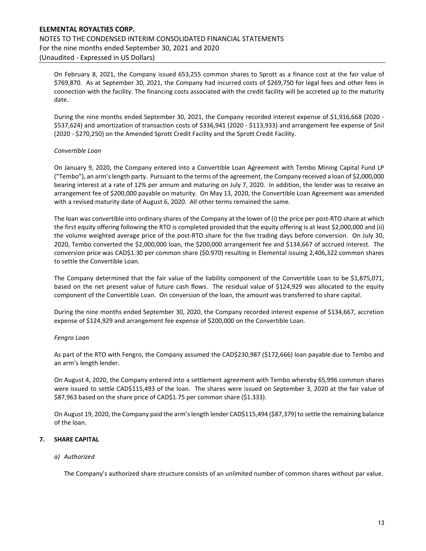# ELEMENTAL ROYALTIES CORP. NOTES TO THE CONDENSED INTERIM CONSOLIDATED FINANCIAL STATEMENTS For the nine months ended September 30, 2021 and 2020 (Unaudited - Expressed in US Dollars)

On February 8, 2021, the Company issued 653,255 common shares to Sprott as a finance cost at the fair value of \$769,870. As at September 30, 2021, the Company had incurred costs of \$269,750 for legal fees and other fees in connection with the facility. The financing costs associated with the credit facility will be accreted up to the maturity date.

During the nine months ended September 30, 2021, the Company recorded interest expense of \$1,916,668 (2020 - \$537,624) and amortization of transaction costs of \$336,941 (2020 - \$113,933) and arrangement fee expense of \$nil (2020 - \$270,250) on the Amended Sprott Credit Facility and the Sprott Credit Facility.

#### Convertible Loan

On January 9, 2020, the Company entered into a Convertible Loan Agreement with Tembo Mining Capital Fund LP ("Tembo"), an arm's length party. Pursuant to the terms of the agreement, the Company received a loan of \$2,000,000 bearing interest at a rate of 12% per annum and maturing on July 7, 2020. In addition, the lender was to receive an arrangement fee of \$200,000 payable on maturity. On May 13, 2020, the Convertible Loan Agreement was amended with a revised maturity date of August 6, 2020. All other terms remained the same.

The loan was convertible into ordinary shares of the Company at the lower of (i) the price per post-RTO share at which the first equity offering following the RTO is completed provided that the equity offering is at least \$2,000,000 and (ii) the volume weighted average price of the post-RTO share for the five trading days before conversion. On July 30, 2020, Tembo converted the \$2,000,000 loan, the \$200,000 arrangement fee and \$134,667 of accrued interest. The conversion price was CAD\$1.30 per common share (\$0.970) resulting in Elemental issuing 2,406,322 common shares to settle the Convertible Loan.

The Company determined that the fair value of the liability component of the Convertible Loan to be \$1,875,071, based on the net present value of future cash flows. The residual value of \$124,929 was allocated to the equity component of the Convertible Loan. On conversion of the loan, the amount was transferred to share capital.

During the nine months ended September 30, 2020, the Company recorded interest expense of \$134,667, accretion expense of \$124,929 and arrangement fee expense of \$200,000 on the Convertible Loan.

#### Fengro Loan

As part of the RTO with Fengro, the Company assumed the CAD\$230,987 (\$172,666) loan payable due to Tembo and an arm's length lender.

On August 4, 2020, the Company entered into a settlement agreement with Tembo whereby 65,996 common shares were issued to settle CAD\$115,493 of the loan. The shares were issued on September 3, 2020 at the fair value of \$87,963 based on the share price of CAD\$1.75 per common share (\$1.333).

On August 19, 2020, the Company paid the arm's length lender CAD\$115,494 (\$87,379) to settle the remaining balance of the loan.

## 7. SHARE CAPITAL

#### a) Authorized

The Company's authorized share structure consists of an unlimited number of common shares without par value.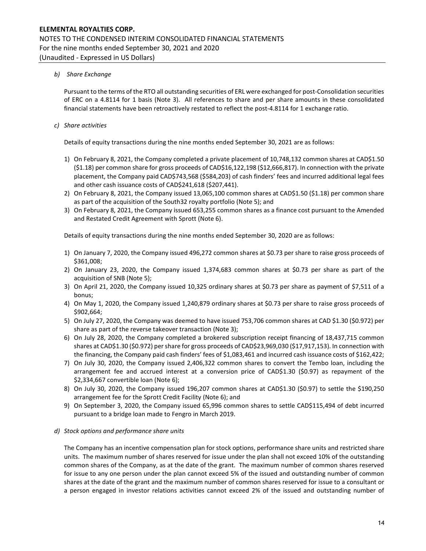## b) Share Exchange

Pursuant to the terms of the RTO all outstanding securities of ERL were exchanged for post-Consolidation securities of ERC on a 4.8114 for 1 basis (Note 3). All references to share and per share amounts in these consolidated financial statements have been retroactively restated to reflect the post-4.8114 for 1 exchange ratio.

## c) Share activities

Details of equity transactions during the nine months ended September 30, 2021 are as follows:

- 1) On February 8, 2021, the Company completed a private placement of 10,748,132 common shares at CAD\$1.50 (\$1.18) per common share for gross proceeds of CAD\$16,122,198 (\$12,666,817). In connection with the private placement, the Company paid CAD\$743,568 (\$584,203) of cash finders' fees and incurred additional legal fees and other cash issuance costs of CAD\$241,618 (\$207,441).
- 2) On February 8, 2021, the Company issued 13,065,100 common shares at CAD\$1.50 (\$1.18) per common share as part of the acquisition of the South32 royalty portfolio (Note 5); and
- 3) On February 8, 2021, the Company issued 653,255 common shares as a finance cost pursuant to the Amended and Restated Credit Agreement with Sprott (Note 6).

Details of equity transactions during the nine months ended September 30, 2020 are as follows:

- 1) On January 7, 2020, the Company issued 496,272 common shares at \$0.73 per share to raise gross proceeds of \$361,008;
- 2) On January 23, 2020, the Company issued 1,374,683 common shares at \$0.73 per share as part of the acquisition of SNB (Note 5);
- 3) On April 21, 2020, the Company issued 10,325 ordinary shares at \$0.73 per share as payment of \$7,511 of a bonus;
- 4) On May 1, 2020, the Company issued 1,240,879 ordinary shares at \$0.73 per share to raise gross proceeds of \$902,664;
- 5) On July 27, 2020, the Company was deemed to have issued 753,706 common shares at CAD \$1.30 (\$0.972) per share as part of the reverse takeover transaction (Note 3);
- 6) On July 28, 2020, the Company completed a brokered subscription receipt financing of 18,437,715 common shares at CAD\$1.30 (\$0.972) per share for gross proceeds of CAD\$23,969,030 (\$17,917,153). In connection with the financing, the Company paid cash finders' fees of \$1,083,461 and incurred cash issuance costs of \$162,422;
- 7) On July 30, 2020, the Company issued 2,406,322 common shares to convert the Tembo loan, including the arrangement fee and accrued interest at a conversion price of CAD\$1.30 (\$0.97) as repayment of the \$2,334,667 convertible loan (Note 6);
- 8) On July 30, 2020, the Company issued 196,207 common shares at CAD\$1.30 (\$0.97) to settle the \$190,250 arrangement fee for the Sprott Credit Facility (Note 6); and
- 9) On September 3, 2020, the Company issued 65,996 common shares to settle CAD\$115,494 of debt incurred pursuant to a bridge loan made to Fengro in March 2019.

#### d) Stock options and performance share units

The Company has an incentive compensation plan for stock options, performance share units and restricted share units. The maximum number of shares reserved for issue under the plan shall not exceed 10% of the outstanding common shares of the Company, as at the date of the grant. The maximum number of common shares reserved for issue to any one person under the plan cannot exceed 5% of the issued and outstanding number of common shares at the date of the grant and the maximum number of common shares reserved for issue to a consultant or a person engaged in investor relations activities cannot exceed 2% of the issued and outstanding number of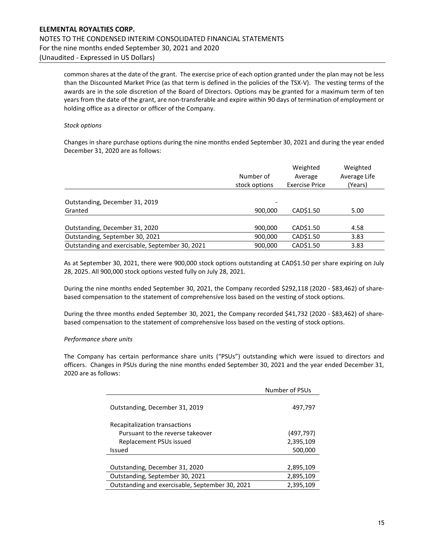common shares at the date of the grant. The exercise price of each option granted under the plan may not be less than the Discounted Market Price (as that term is defined in the policies of the TSX-V). The vesting terms of the awards are in the sole discretion of the Board of Directors. Options may be granted for a maximum term of ten years from the date of the grant, are non-transferable and expire within 90 days of termination of employment or holding office as a director or officer of the Company.

#### Stock options

Changes in share purchase options during the nine months ended September 30, 2021 and during the year ended December 31, 2020 are as follows:

|                                                 | Number of<br>stock options | Weighted<br>Average<br><b>Exercise Price</b> | Weighted<br>Average Life<br>(Years) |
|-------------------------------------------------|----------------------------|----------------------------------------------|-------------------------------------|
| Outstanding, December 31, 2019                  | -                          |                                              |                                     |
| Granted                                         | 900,000                    | CAD\$1.50                                    | 5.00                                |
| Outstanding, December 31, 2020                  | 900,000                    | CAD\$1.50                                    | 4.58                                |
| Outstanding, September 30, 2021                 | 900,000                    | CAD\$1.50                                    | 3.83                                |
| Outstanding and exercisable, September 30, 2021 | 900,000                    | CAD\$1.50                                    | 3.83                                |

As at September 30, 2021, there were 900,000 stock options outstanding at CAD\$1.50 per share expiring on July 28, 2025. All 900,000 stock options vested fully on July 28, 2021.

During the nine months ended September 30, 2021, the Company recorded \$292,118 (2020 - \$83,462) of sharebased compensation to the statement of comprehensive loss based on the vesting of stock options.

During the three months ended September 30, 2021, the Company recorded \$41,732 (2020 - \$83,462) of sharebased compensation to the statement of comprehensive loss based on the vesting of stock options.

#### Performance share units

The Company has certain performance share units ("PSUs") outstanding which were issued to directors and officers. Changes in PSUs during the nine months ended September 30, 2021 and the year ended December 31, 2020 are as follows:

|                                                 | Number of PSUs |  |  |
|-------------------------------------------------|----------------|--|--|
| Outstanding, December 31, 2019                  | 497,797        |  |  |
| Recapitalization transactions                   |                |  |  |
| Pursuant to the reverse takeover                | (497,797)      |  |  |
| Replacement PSUs issued                         | 2,395,109      |  |  |
| Issued                                          | 500,000        |  |  |
|                                                 |                |  |  |
| Outstanding, December 31, 2020                  | 2,895,109      |  |  |
| Outstanding, September 30, 2021                 | 2,895,109      |  |  |
| Outstanding and exercisable, September 30, 2021 | 2,395,109      |  |  |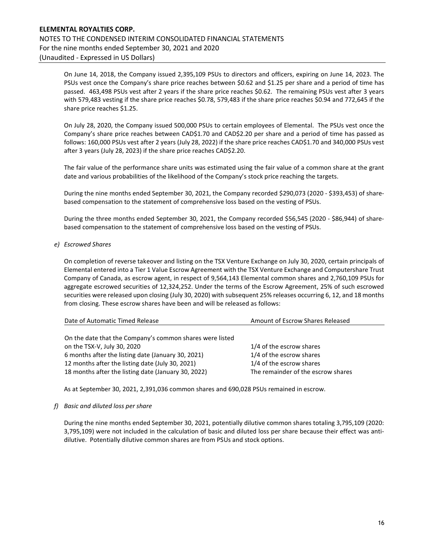On June 14, 2018, the Company issued 2,395,109 PSUs to directors and officers, expiring on June 14, 2023. The PSUs vest once the Company's share price reaches between \$0.62 and \$1.25 per share and a period of time has passed. 463,498 PSUs vest after 2 years if the share price reaches \$0.62. The remaining PSUs vest after 3 years with 579,483 vesting if the share price reaches \$0.78, 579,483 if the share price reaches \$0.94 and 772,645 if the share price reaches \$1.25.

On July 28, 2020, the Company issued 500,000 PSUs to certain employees of Elemental. The PSUs vest once the Company's share price reaches between CAD\$1.70 and CAD\$2.20 per share and a period of time has passed as follows: 160,000 PSUs vest after 2 years (July 28, 2022) if the share price reaches CAD\$1.70 and 340,000 PSUs vest after 3 years (July 28, 2023) if the share price reaches CAD\$2.20.

The fair value of the performance share units was estimated using the fair value of a common share at the grant date and various probabilities of the likelihood of the Company's stock price reaching the targets.

During the nine months ended September 30, 2021, the Company recorded \$290,073 (2020 - \$393,453) of sharebased compensation to the statement of comprehensive loss based on the vesting of PSUs.

During the three months ended September 30, 2021, the Company recorded \$56,545 (2020 - \$86,944) of sharebased compensation to the statement of comprehensive loss based on the vesting of PSUs.

e) Escrowed Shares

On completion of reverse takeover and listing on the TSX Venture Exchange on July 30, 2020, certain principals of Elemental entered into a Tier 1 Value Escrow Agreement with the TSX Venture Exchange and Computershare Trust Company of Canada, as escrow agent, in respect of 9,564,143 Elemental common shares and 2,760,109 PSUs for aggregate escrowed securities of 12,324,252. Under the terms of the Escrow Agreement, 25% of such escrowed securities were released upon closing (July 30, 2020) with subsequent 25% releases occurring 6, 12, and 18 months from closing. These escrow shares have been and will be released as follows:

| Date of Automatic Timed Release                          | Amount of Escrow Shares Released   |  |
|----------------------------------------------------------|------------------------------------|--|
|                                                          |                                    |  |
| On the date that the Company's common shares were listed |                                    |  |
| on the TSX-V, July 30, 2020                              | 1/4 of the escrow shares           |  |
| 6 months after the listing date (January 30, 2021)       | 1/4 of the escrow shares           |  |
| 12 months after the listing date (July 30, 2021)         | 1/4 of the escrow shares           |  |
| 18 months after the listing date (January 30, 2022)      | The remainder of the escrow shares |  |

As at September 30, 2021, 2,391,036 common shares and 690,028 PSUs remained in escrow.

f) Basic and diluted loss per share

During the nine months ended September 30, 2021, potentially dilutive common shares totaling 3,795,109 (2020: 3,795,109) were not included in the calculation of basic and diluted loss per share because their effect was antidilutive. Potentially dilutive common shares are from PSUs and stock options.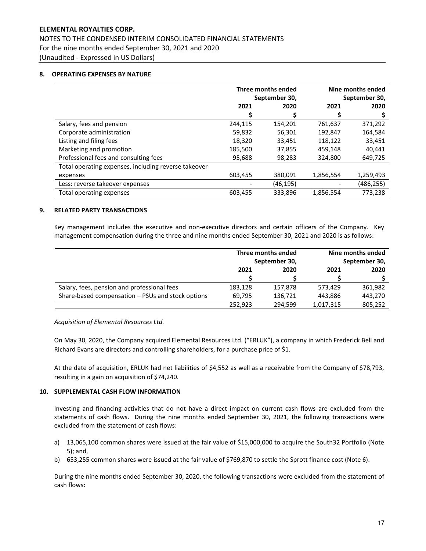NOTES TO THE CONDENSED INTERIM CONSOLIDATED FINANCIAL STATEMENTS For the nine months ended September 30, 2021 and 2020 (Unaudited - Expressed in US Dollars)

#### 8. OPERATING EXPENSES BY NATURE

|                                                      | Three months ended<br>September 30, |           | Nine months ended<br>September 30, |           |
|------------------------------------------------------|-------------------------------------|-----------|------------------------------------|-----------|
|                                                      |                                     |           |                                    |           |
|                                                      | 2021                                | 2020      | 2021                               | 2020      |
|                                                      |                                     |           |                                    |           |
| Salary, fees and pension                             | 244,115                             | 154,201   | 761,637                            | 371,292   |
| Corporate administration                             | 59,832                              | 56,301    | 192,847                            | 164,584   |
| Listing and filing fees                              | 18,320                              | 33,451    | 118,122                            | 33,451    |
| Marketing and promotion                              | 185,500                             | 37,855    | 459,148                            | 40,441    |
| Professional fees and consulting fees                | 95,688                              | 98,283    | 324,800                            | 649,725   |
| Total operating expenses, including reverse takeover |                                     |           |                                    |           |
| expenses                                             | 603,455                             | 380,091   | 1,856,554                          | 1,259,493 |
| Less: reverse takeover expenses                      |                                     | (46, 195) |                                    | (486,255) |
| Total operating expenses                             | 603.455                             | 333.896   | 1,856,554                          | 773.238   |

#### 9. RELATED PARTY TRANSACTIONS

Key management includes the executive and non-executive directors and certain officers of the Company. Key management compensation during the three and nine months ended September 30, 2021 and 2020 is as follows:

|                                                   | Three months ended<br>September 30, |         |               | Nine months ended |
|---------------------------------------------------|-------------------------------------|---------|---------------|-------------------|
|                                                   |                                     |         | September 30, |                   |
|                                                   | 2021                                | 2020    | 2021          | 2020              |
|                                                   |                                     |         |               |                   |
| Salary, fees, pension and professional fees       | 183,128                             | 157.878 | 573.429       | 361,982           |
| Share-based compensation - PSUs and stock options | 69.795                              | 136,721 | 443,886       | 443,270           |
|                                                   | 252,923                             | 294.599 | 1,017,315     | 805,252           |

Acquisition of Elemental Resources Ltd.

On May 30, 2020, the Company acquired Elemental Resources Ltd. ("ERLUK"), a company in which Frederick Bell and Richard Evans are directors and controlling shareholders, for a purchase price of \$1.

At the date of acquisition, ERLUK had net liabilities of \$4,552 as well as a receivable from the Company of \$78,793, resulting in a gain on acquisition of \$74,240.

#### 10. SUPPLEMENTAL CASH FLOW INFORMATION

Investing and financing activities that do not have a direct impact on current cash flows are excluded from the statements of cash flows. During the nine months ended September 30, 2021, the following transactions were excluded from the statement of cash flows:

- a) 13,065,100 common shares were issued at the fair value of \$15,000,000 to acquire the South32 Portfolio (Note 5); and,
- b) 653,255 common shares were issued at the fair value of \$769,870 to settle the Sprott finance cost (Note 6).

During the nine months ended September 30, 2020, the following transactions were excluded from the statement of cash flows: